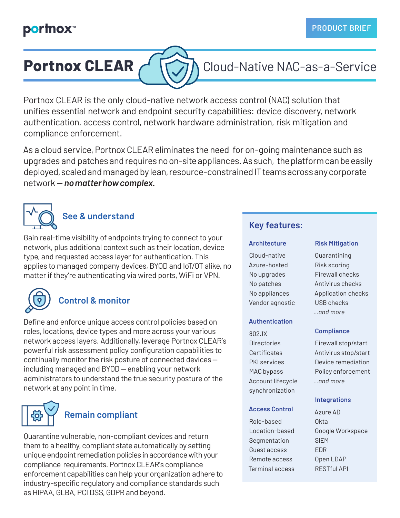## **portnox**™

# **Portnox CLEAR** C **T** 7 Cloud-Native NAC-as-a-Service

Portnox CLEAR is the only cloud-native network access control (NAC) solution that unifies essential network and endpoint security capabilities: device discovery, network authentication, access control, network hardware administration, risk mitigation and compliance enforcement.

As a cloud service, Portnox CLEAR eliminates the need for on-going maintenance such as upgrades and patches and requires no on-site appliances. As such, the platform can be easily deployed, scaled and managed by lean, resource-constrained IT teams across any corporate network — *no matter how complex.*



## **See & understand**

Gain real-time visibility of endpoints trying to connect to your network, plus additional context such as their location, device type, and requested access layer for authentication. This applies to managed company devices, BYOD and IoT/OT alike, no matter if they're authenticating via wired ports, WiFi or VPN.



## **Control & monitor**

Define and enforce unique access control policies based on roles, locations, device types and more across your various network access layers. Additionally, leverage Portnox CLEAR's powerful risk assessment policy configuration capabilities to continually monitor the risk posture of connected devices including managed and BYOD — enabling your network administrators to understand the true security posture of the network at any point in time.



## **Remain compliant**

Quarantine vulnerable, non-compliant devices and return them to a healthy, compliant state automatically by setting unique endpoint remediation policies in accordance with your compliance requirements. Portnox CLEAR's compliance enforcement capabilities can help your organization adhere to industry-specific regulatory and compliance standards such as HIPAA, GLBA, PCI DSS, GDPR and beyond.

### **Key features:**

#### **Architecture**

Cloud-native Azure-hosted No upgrades No patches No appliances Vendor agnostic

#### **Authentication**

802.1X Directories Certificates PKI services MAC bypass Account lifecycle synchronization

#### **Access Control**

Role-based Location-based Segmentation Guest access Remote access Terminal access

#### **Risk Mitigation**

Quarantining Risk scoring Firewall checks Antivirus checks Application checks USB checks *...and more*

### **Compliance**

Firewall stop/start Antivirus stop/start Device remediation Policy enforcement *...and more*

#### **Integrations**

Azure AD Okta Google Workspace SIEM EDR Open LDAP RESTful API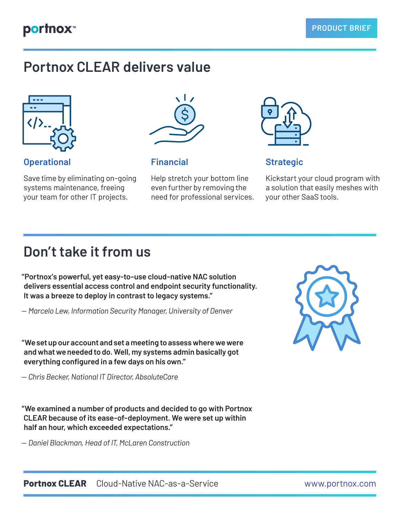# **Portnox CLEAR delivers value**



## **Operational Financial Strategic**

Save time by eliminating on-going systems maintenance, freeing your team for other IT projects.



Help stretch your bottom line even further by removing the need for professional services.



Kickstart your cloud program with a solution that easily meshes with your other SaaS tools.

# **Don't take it from us**

**"Portnox's powerful, yet easy-to-use cloud-native NAC solution delivers essential access control and endpoint security functionality. It was a breeze to deploy in contrast to legacy systems."**

*— Marcelo Lew, Information Security Manager, University of Denver*

**"We set up our account and set a meeting to assess where we were and what we needed to do. Well, my systems admin basically got everything configured in a few days on his own."**

*— Chris Becker, National IT Director, AbsoluteCare*

**"We examined a number of products and decided to go with Portnox CLEAR because of its ease-of-deployment. We were set up within half an hour, which exceeded expectations."**

*— Daniel Blackman, Head of IT, McLaren Construction*